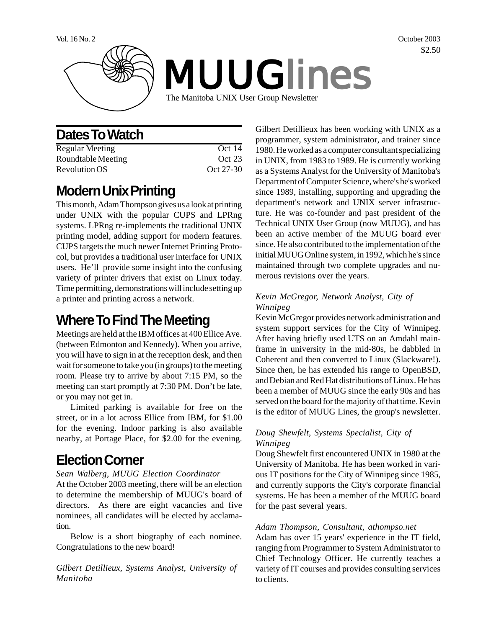

# **Dates To Watch**

| Regular Meeting    | Oct 14    |
|--------------------|-----------|
| Roundtable Meeting | Oct 23    |
| Revolution OS      | Oct 27-30 |

## **Modern Unix Printing**

This month, Adam Thompson gives us a look at printing under UNIX with the popular CUPS and LPRng systems. LPRng re-implements the traditional UNIX printing model, adding support for modern features. CUPS targets the much newer Internet Printing Protocol, but provides a traditional user interface for UNIX users. He'll provide some insight into the confusing variety of printer drivers that exist on Linux today. Time permitting, demonstrations will include setting up a printer and printing across a network.

# **Where To Find The Meeting**

Meetings are held at the IBM offices at 400 Ellice Ave. (between Edmonton and Kennedy). When you arrive, you will have to sign in at the reception desk, and then wait for someone to take you (in groups) to the meeting room. Please try to arrive by about 7:15 PM, so the meeting can start promptly at 7:30 PM. Don't be late, or you may not get in.

Limited parking is available for free on the street, or in a lot across Ellice from IBM, for \$1.00 for the evening. Indoor parking is also available nearby, at Portage Place, for \$2.00 for the evening.

# **Election Corner**

#### *Sean Walberg, MUUG Election Coordinator*

At the October 2003 meeting, there will be an election to determine the membership of MUUG's board of directors. As there are eight vacancies and five nominees, all candidates will be elected by acclamation.

Below is a short biography of each nominee. Congratulations to the new board!

*Gilbert Detillieux, Systems Analyst, University of Manitoba*

Gilbert Detillieux has been working with UNIX as a programmer, system administrator, and trainer since 1980. He worked as a computer consultant specializing in UNIX, from 1983 to 1989. He is currently working as a Systems Analyst for the University of Manitoba's Department of Computer Science, where's he's worked since 1989, installing, supporting and upgrading the department's network and UNIX server infrastructure. He was co-founder and past president of the Technical UNIX User Group (now MUUG), and has been an active member of the MUUG board ever since. He also contributed to the implementation of the initial MUUG Online system, in 1992, which he's since maintained through two complete upgrades and numerous revisions over the years.

### *Kevin McGregor, Network Analyst, City of Winnipeg*

Kevin McGregor provides network administration and system support services for the City of Winnipeg. After having briefly used UTS on an Amdahl mainframe in university in the mid-80s, he dabbled in Coherent and then converted to Linux (Slackware!). Since then, he has extended his range to OpenBSD, and Debian and Red Hat distributions of Linux. He has been a member of MUUG since the early 90s and has served on the board for the majority of that time. Kevin is the editor of MUUG Lines, the group's newsletter.

### *Doug Shewfelt, Systems Specialist, City of Winnipeg*

Doug Shewfelt first encountered UNIX in 1980 at the University of Manitoba. He has been worked in various IT positions for the City of Winnipeg since 1985, and currently supports the City's corporate financial systems. He has been a member of the MUUG board for the past several years.

#### *Adam Thompson, Consultant, athompso.net*

Adam has over 15 years' experience in the IT field, ranging from Programmer to System Administrator to Chief Technology Officer. He currently teaches a variety of IT courses and provides consulting services to clients.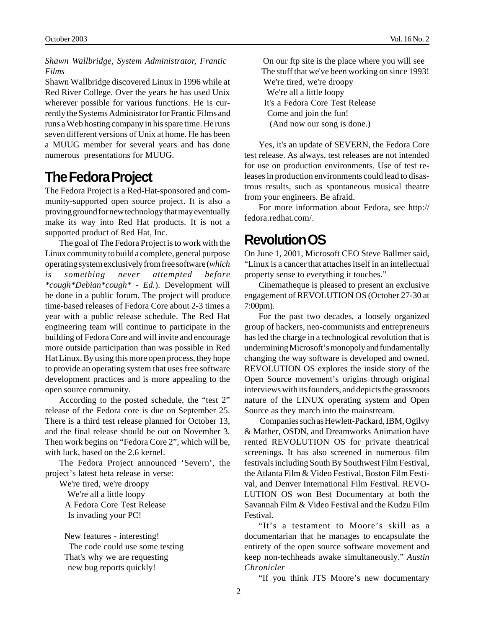*Shawn Wallbridge, System Administrator, Frantic Films*

Shawn Wallbridge discovered Linux in 1996 while at Red River College. Over the years he has used Unix wherever possible for various functions. He is currently the Systems Administrator for Frantic Films and runs a Web hosting company in his spare time. He runs seven different versions of Unix at home. He has been a MUUG member for several years and has done numerous presentations for MUUG.

### **The Fedora Project**

The Fedora Project is a Red-Hat-sponsored and community-supported open source project. It is also a proving ground for new technology that may eventually make its way into Red Hat products. It is not a supported product of Red Hat, Inc.

The goal of The Fedora Project is to work with the Linux community to build a complete, general purpose operating system exclusively from free software (*which is something never attempted before \*cough\*Debian\*cough\* - Ed.*). Development will be done in a public forum. The project will produce time-based releases of Fedora Core about 2-3 times a year with a public release schedule. The Red Hat engineering team will continue to participate in the building of Fedora Core and will invite and encourage more outside participation than was possible in Red Hat Linux. By using this more open process, they hope to provide an operating system that uses free software development practices and is more appealing to the open source community.

According to the posted schedule, the "test 2" release of the Fedora core is due on September 25. There is a third test release planned for October 13, and the final release should be out on November 3. Then work begins on "Fedora Core 2", which will be, with luck, based on the 2.6 kernel.

The Fedora Project announced 'Severn', the project's latest beta release in verse:

We're tired, we're droopy We're all a little loopy A Fedora Core Test Release Is invading your PC!

 New features - interesting! The code could use some testing That's why we are requesting new bug reports quickly!

 On our ftp site is the place where you will see The stuff that we've been working on since 1993! We're tired, we're droopy We're all a little loopy It's a Fedora Core Test Release Come and join the fun! (And now our song is done.)

Yes, it's an update of SEVERN, the Fedora Core test release. As always, test releases are not intended for use on production environments. Use of test releases in production environments could lead to disastrous results, such as spontaneous musical theatre from your engineers. Be afraid.

For more information about Fedora, see http:// fedora.redhat.com/.

## **Revolution OS**

On June 1, 2001, Microsoft CEO Steve Ballmer said, "Linux is a cancer that attaches itself in an intellectual property sense to everything it touches."

Cinematheque is pleased to present an exclusive engagement of REVOLUTION OS (October 27-30 at 7:00pm).

For the past two decades, a loosely organized group of hackers, neo-communists and entrepreneurs has led the charge in a technological revolution that is undermining Microsoft's monopoly and fundamentally changing the way software is developed and owned. REVOLUTION OS explores the inside story of the Open Source movement's origins through original interviews with its founders, and depicts the grassroots nature of the LINUX operating system and Open Source as they march into the mainstream.

 Companies such as Hewlett-Packard, IBM, Ogilvy & Mather, OSDN, and Dreamworks Animation have rented REVOLUTION OS for private theatrical screenings. It has also screened in numerous film festivals including South By Southwest Film Festival, the Atlanta Film & Video Festival, Boston Film Festival, and Denver International Film Festival. REVO-LUTION OS won Best Documentary at both the Savannah Film & Video Festival and the Kudzu Film Festival.

"It's a testament to Moore's skill as a documentarian that he manages to encapsulate the entirety of the open source software movement and keep non-techheads awake simultaneously." *Austin Chronicler*

"If you think JTS Moore's new documentary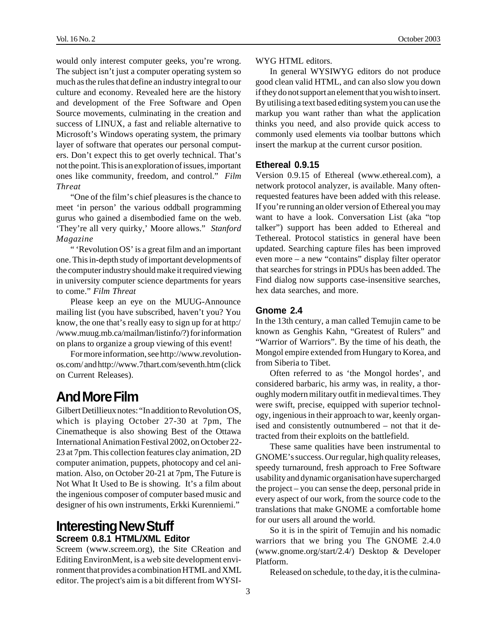would only interest computer geeks, you're wrong. The subject isn't just a computer operating system so much as the rules that define an industry integral to our culture and economy. Revealed here are the history and development of the Free Software and Open Source movements, culminating in the creation and success of LINUX, a fast and reliable alternative to Microsoft's Windows operating system, the primary layer of software that operates our personal computers. Don't expect this to get overly technical. That's not the point. This is an exploration of issues, important ones like community, freedom, and control." *Film Threat*

"One of the film's chief pleasures is the chance to meet 'in person' the various oddball programming gurus who gained a disembodied fame on the web. 'They're all very quirky,' Moore allows." *Stanford Magazine*

" 'Revolution OS' is a great film and an important one. This in-depth study of important developments of the computer industry should make it required viewing in university computer science departments for years to come." *Film Threat*

Please keep an eye on the MUUG-Announce mailing list (you have subscribed, haven't you? You know, the one that's really easy to sign up for at http:/ /www.muug.mb.ca/mailman/listinfo/?) for information on plans to organize a group viewing of this event!

For more information, see http://www.revolutionos.com/ and http://www.7thart.com/seventh.htm (click on Current Releases).

## **And More Film**

Gilbert Detillieux notes: "In addition to Revolution OS, which is playing October 27-30 at 7pm, The Cinematheque is also showing Best of the Ottawa International Animation Festival 2002, on October 22- 23 at 7pm. This collection features clay animation, 2D computer animation, puppets, photocopy and cel animation. Also, on October 20-21 at 7pm, The Future is Not What It Used to Be is showing. It's a film about the ingenious composer of computer based music and designer of his own instruments, Erkki Kurenniemi."

### **Interesting New Stuff Screem 0.8.1 HTML/XML Editor**

Screem (www.screem.org), the Site CReation and Editing EnvironMent, is a web site development environment that provides a combination HTML and XML editor. The project's aim is a bit different from WYSI-

WYG HTML editors.

In general WYSIWYG editors do not produce good clean valid HTML, and can also slow you down if they do not support an element that you wish to insert. By utilising a text based editing system you can use the markup you want rather than what the application thinks you need, and also provide quick access to commonly used elements via toolbar buttons which insert the markup at the current cursor position.

#### **Ethereal 0.9.15**

Version 0.9.15 of Ethereal (www.ethereal.com), a network protocol analyzer, is available. Many oftenrequested features have been added with this release. If you're running an older version of Ethereal you may want to have a look. Conversation List (aka "top talker") support has been added to Ethereal and Tethereal. Protocol statistics in general have been updated. Searching capture files has been improved even more – a new "contains" display filter operator that searches for strings in PDUs has been added. The Find dialog now supports case-insensitive searches, hex data searches, and more.

#### **Gnome 2.4**

In the 13th century, a man called Temujin came to be known as Genghis Kahn, "Greatest of Rulers" and "Warrior of Warriors". By the time of his death, the Mongol empire extended from Hungary to Korea, and from Siberia to Tibet.

Often referred to as 'the Mongol hordes', and considered barbaric, his army was, in reality, a thoroughly modern military outfit in medieval times. They were swift, precise, equipped with superior technology, ingenious in their approach to war, keenly organised and consistently outnumbered – not that it detracted from their exploits on the battlefield.

These same qualities have been instrumental to GNOME's success. Our regular, high quality releases, speedy turnaround, fresh approach to Free Software usability and dynamic organisation have supercharged the project – you can sense the deep, personal pride in every aspect of our work, from the source code to the translations that make GNOME a comfortable home for our users all around the world.

So it is in the spirit of Temujin and his nomadic warriors that we bring you The GNOME 2.4.0 (www.gnome.org/start/2.4/) Desktop & Developer Platform.

Released on schedule, to the day, it is the culmina-